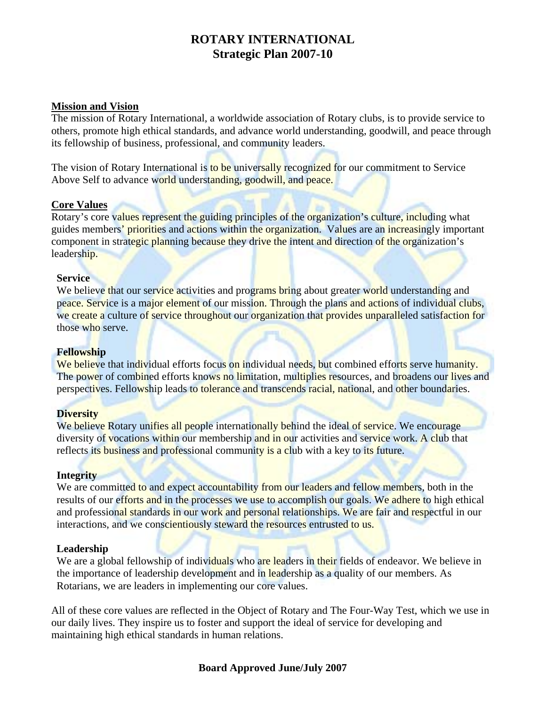# **ROTARY INTERNATIONAL Strategic Plan 2007-10**

### **Mission and Vision**

The mission of Rotary International, a worldwide association of Rotary clubs, is to provide service to others, promote high ethical standards, and advance world understanding, goodwill, and peace through its fellowship of business, professional, and community leaders.

The vision of Rotary International is to be universally recognized for our commitment to Service Above Self to advance world understanding, goodwill, and peace.

### **Core Values**

Rotary's core values represent the guiding principles of the organization's culture, including what guides members' priorities and actions within the organization. Values are an increasingly important component in strategic planning because they drive the intent and direction of the organization's leadership.

#### **Service**

We believe that our service activities and programs bring about greater world understanding and peace. Service is a major element of our mission. Through the plans and actions of individual clubs, we create a culture of service throughout our organization that provides unparalleled satisfaction for those who serve.

#### **Fellowship**

We believe that individual efforts focus on individual needs, but combined efforts serve humanity. The power of combined efforts knows no limitation, multiplies resources, and broadens our lives and perspectives. Fellowship leads to tolerance and transcends racial, national, and other boundaries.

#### **Diversity**

We believe Rotary unifies all people internationally behind the ideal of service. We encourage diversity of vocations within our membership and in our activities and service work. A club that reflects its business and professional community is a club with a key to its future.

### **Integrity**

We are committed to and expect accountability from our leaders and fellow members, both in the results of our efforts and in the processes we use to accomplish our goals. We adhere to high ethical and professional standards in our work and personal relationships. We are fair and respectful in our interactions, and we conscientiously steward the resources entrusted to us.

#### **Leadership**

We are a global fellowship of individuals who are leaders in their fields of endeavor. We believe in the importance of leadership development and in leadership as a quality of our members. As Rotarians, we are leaders in implementing our core values.

All of these core values are reflected in the Object of Rotary and The Four-Way Test, which we use in our daily lives. They inspire us to foster and support the ideal of service for developing and maintaining high ethical standards in human relations.

## **Board Approved June/July 2007**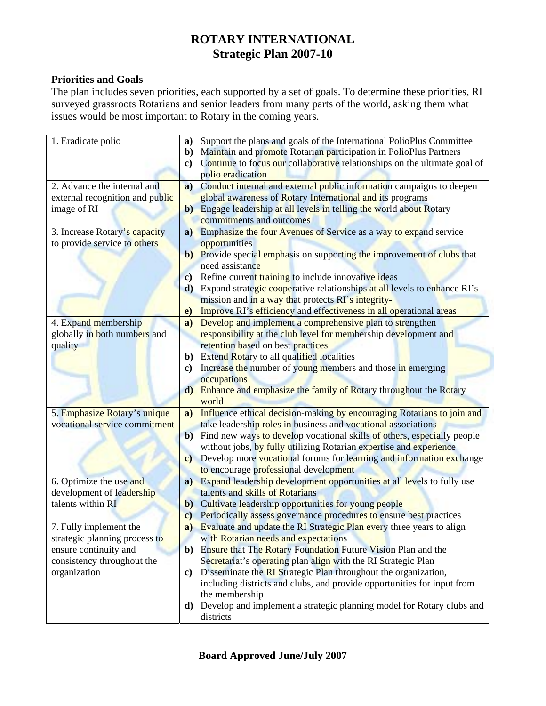# **ROTARY INTERNATIONAL Strategic Plan 2007-10**

## **Priorities and Goals**

The plan includes seven priorities, each supported by a set of goals. To determine these priorities, RI surveyed grassroots Rotarians and senior leaders from many parts of the world, asking them what issues would be most important to Rotary in the coming years.

| 1. Eradicate polio              | Support the plans and goals of the International PolioPlus Committee<br>a)              |
|---------------------------------|-----------------------------------------------------------------------------------------|
|                                 | Maintain and promote Rotarian participation in PolioPlus Partners<br>b)                 |
|                                 | Continue to focus our collaborative relationships on the ultimate goal of<br>$\bf c)$   |
|                                 | polio eradication                                                                       |
| 2. Advance the internal and     | Conduct internal and external public information campaigns to deepen<br>$\bf{a)}$       |
| external recognition and public | global awareness of Rotary International and its programs                               |
| image of RI                     | Engage leadership at all levels in telling the world about Rotary<br>$\mathbf{b}$       |
|                                 | commitments and outcomes                                                                |
| 3. Increase Rotary's capacity   | Emphasize the four Avenues of Service as a way to expand service<br>$\mathbf{a}$        |
| to provide service to others    | opportunities                                                                           |
|                                 | b) Provide special emphasis on supporting the improvement of clubs that                 |
|                                 | need assistance                                                                         |
|                                 | Refine current training to include innovative ideas<br>$\mathbf{c})$                    |
|                                 | d) Expand strategic cooperative relationships at all levels to enhance RI's             |
|                                 | mission and in a way that protects RI's integrity-                                      |
|                                 | Improve RI's efficiency and effectiveness in all operational areas<br>e)                |
| 4. Expand membership            | Develop and implement a comprehensive plan to strengthen<br>a)                          |
| globally in both numbers and    | responsibility at the club level for membership development and                         |
| quality                         | retention based on best practices                                                       |
|                                 | <b>b</b> ) Extend Rotary to all qualified localities                                    |
|                                 | Increase the number of young members and those in emerging<br>$\bf c)$                  |
|                                 | occupations                                                                             |
|                                 | Enhance and emphasize the family of Rotary throughout the Rotary<br>$\mathbf{d}$        |
|                                 | world                                                                                   |
| 5. Emphasize Rotary's unique    | Influence ethical decision-making by encouraging Rotarians to join and<br>$\bf{a}$      |
| vocational service commitment   | take leadership roles in business and vocational associations                           |
|                                 | Find new ways to develop vocational skills of others, especially people<br>$\mathbf{b}$ |
|                                 | without jobs, by fully utilizing Rotarian expertise and experience                      |
|                                 | Develop more vocational forums for learning and information exchange<br>$\mathbf{c}$    |
|                                 | to encourage professional development                                                   |
| 6. Optimize the use and         | <b>Expand leadership development opportunities at all levels to fully use</b><br>a)     |
| development of leadership       | talents and skills of Rotarians                                                         |
| talents within RI               | Cultivate leadership opportunities for young people<br>$\mathbf{b}$                     |
|                                 | Periodically assess governance procedures to ensure best practices<br>$\mathbf{c}$      |
| 7. Fully implement the          | a) Evaluate and update the RI Strategic Plan every three years to align                 |
| strategic planning process to   | with Rotarian needs and expectations                                                    |
| ensure continuity and           | Ensure that The Rotary Foundation Future Vision Plan and the<br>$\mathbf{b}$            |
| consistency throughout the      | Secretariat's operating plan align with the RI Strategic Plan                           |
| organization                    | Disseminate the RI Strategic Plan throughout the organization,<br>C)                    |
|                                 | including districts and clubs, and provide opportunities for input from                 |
|                                 | the membership                                                                          |
|                                 | Develop and implement a strategic planning model for Rotary clubs and<br>d)             |
|                                 | districts                                                                               |